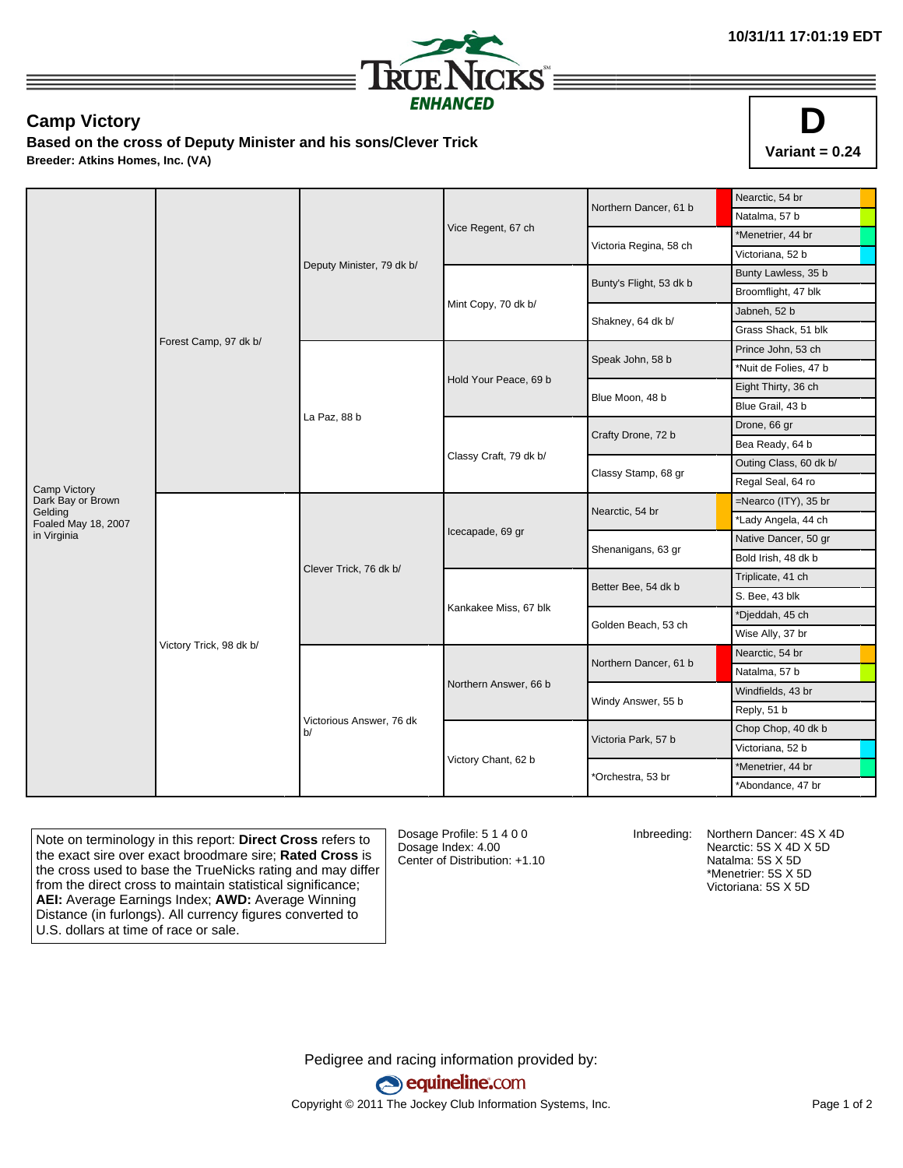

## **Camp Victory**

**Based on the cross of Deputy Minister and his sons/Clever Trick Breeder: Atkins Homes, Inc. (VA)**



|                              |                         |                                |                        | Northern Dancer, 61 b   | Nearctic, 54 br        |
|------------------------------|-------------------------|--------------------------------|------------------------|-------------------------|------------------------|
|                              | Forest Camp, 97 dk b/   | Deputy Minister, 79 dk b/      |                        |                         | Natalma, 57 b          |
|                              |                         |                                | Vice Regent, 67 ch     | Victoria Regina, 58 ch  | *Menetrier, 44 br      |
|                              |                         |                                |                        |                         | Victoriana, 52 b       |
|                              |                         |                                |                        | Bunty's Flight, 53 dk b | Bunty Lawless, 35 b    |
|                              |                         |                                | Mint Copy, 70 dk b/    |                         | Broomflight, 47 blk    |
|                              |                         |                                |                        | Shakney, 64 dk b/       | Jabneh, 52 b           |
|                              |                         |                                |                        |                         | Grass Shack, 51 blk    |
|                              |                         | La Paz, 88 b                   | Hold Your Peace, 69 b  | Speak John, 58 b        | Prince John, 53 ch     |
|                              |                         |                                |                        |                         | *Nuit de Folies, 47 b  |
|                              |                         |                                |                        | Blue Moon, 48 b         | Eight Thirty, 36 ch    |
|                              |                         |                                |                        |                         | Blue Grail, 43 b       |
|                              |                         |                                | Classy Craft, 79 dk b/ | Crafty Drone, 72 b      | Drone, 66 gr           |
|                              |                         |                                |                        |                         | Bea Ready, 64 b        |
|                              |                         |                                |                        | Classy Stamp, 68 gr     | Outing Class, 60 dk b/ |
| Camp Victory                 |                         |                                |                        |                         | Regal Seal, 64 ro      |
| Dark Bay or Brown<br>Gelding | Victory Trick, 98 dk b/ | Clever Trick, 76 dk b/         | Icecapade, 69 gr       | Nearctic, 54 br         | =Nearco (ITY), 35 br   |
| Foaled May 18, 2007          |                         |                                |                        |                         | *Lady Angela, 44 ch    |
| in Virginia                  |                         |                                |                        | Shenanigans, 63 gr      | Native Dancer, 50 gr   |
|                              |                         |                                |                        |                         | Bold Irish, 48 dk b    |
|                              |                         |                                | Kankakee Miss, 67 blk  | Better Bee, 54 dk b     | Triplicate, 41 ch      |
|                              |                         |                                |                        |                         | S. Bee, 43 blk         |
|                              |                         |                                |                        | Golden Beach, 53 ch     | *Djeddah, 45 ch        |
|                              |                         |                                |                        |                         | Wise Ally, 37 br       |
|                              |                         | Victorious Answer, 76 dk<br>b/ | Northern Answer, 66 b  | Northern Dancer, 61 b   | Nearctic, 54 br        |
|                              |                         |                                |                        |                         | Natalma, 57 b          |
|                              |                         |                                |                        | Windy Answer, 55 b      | Windfields, 43 br      |
|                              |                         |                                |                        |                         | Reply, 51 b            |
|                              |                         |                                |                        | Victoria Park, 57 b     | Chop Chop, 40 dk b     |
|                              |                         |                                | Victory Chant, 62 b    |                         | Victoriana, 52 b       |
|                              |                         |                                |                        | *Orchestra, 53 br       | *Menetrier, 44 br      |
|                              |                         |                                |                        |                         | *Abondance, 47 br      |

Note on terminology in this report: **Direct Cross** refers to the exact sire over exact broodmare sire; **Rated Cross** is the cross used to base the TrueNicks rating and may differ from the direct cross to maintain statistical significance; **AEI:** Average Earnings Index; **AWD:** Average Winning Distance (in furlongs). All currency figures converted to U.S. dollars at time of race or sale.

Dosage Profile: 5 1 4 0 0 Dosage Index: 4.00 Center of Distribution: +1.10

Inbreeding: Northern Dancer: 4S X 4D Nearctic: 5S X 4D X 5D Natalma: 5S X 5D \*Menetrier: 5S X 5D Victoriana: 5S X 5D

Pedigree and racing information provided by: equineline.com Copyright © 2011 The Jockey Club Information Systems, Inc. example 2012 Page 1 of 2